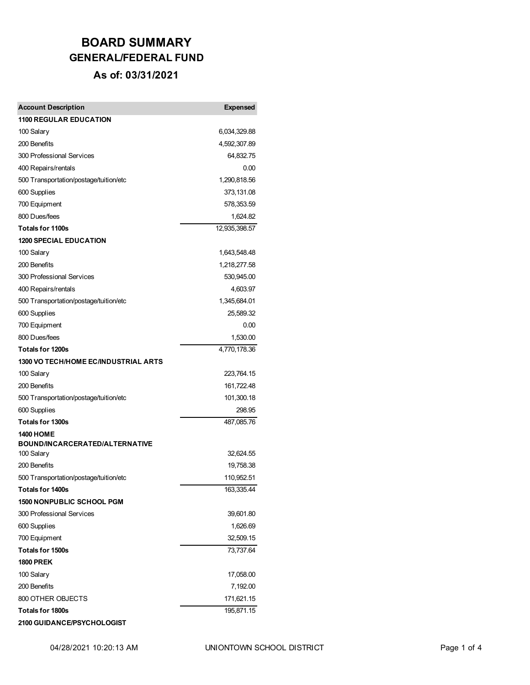| <b>Account Description</b>                                 | <b>Expensed</b>         |
|------------------------------------------------------------|-------------------------|
| <b>1100 REGULAR EDUCATION</b>                              |                         |
| 100 Salary                                                 | 6,034,329.88            |
| 200 Benefits                                               | 4,592,307.89            |
| 300 Professional Services                                  | 64,832.75               |
| 400 Repairs/rentals                                        | 0.00                    |
| 500 Transportation/postage/tuition/etc                     | 1,290,818.56            |
| 600 Supplies                                               | 373,131.08              |
| 700 Equipment                                              | 578,353.59              |
| 800 Dues/fees                                              | 1,624.82                |
| <b>Totals for 1100s</b>                                    | 12,935,398.57           |
| <b>1200 SPECIAL EDUCATION</b>                              |                         |
| 100 Salary                                                 | 1,643,548.48            |
| 200 Benefits                                               | 1,218,277.58            |
| 300 Professional Services                                  | 530,945.00              |
| 400 Repairs/rentals                                        | 4,603.97                |
| 500 Transportation/postage/tuition/etc                     | 1,345,684.01            |
| 600 Supplies                                               | 25,589.32               |
| 700 Equipment                                              | 0.00                    |
| 800 Dues/fees                                              | 1,530.00                |
| <b>Totals for 1200s</b>                                    | 4,770,178.36            |
| <b>1300 VO TECH/HOME EC/INDUSTRIAL ARTS</b>                |                         |
| 100 Salary                                                 | 223,764.15              |
| 200 Benefits                                               | 161,722.48              |
| 500 Transportation/postage/tuition/etc                     | 101,300.18              |
| 600 Supplies                                               | 298.95                  |
| <b>Totals for 1300s</b>                                    | 487,085.76              |
| <b>1400 HOME</b>                                           |                         |
| BOUND/INCARCERATED/ALTERNATIVE<br>100 Salary               | 32,624.55               |
| 200 Benefits                                               |                         |
|                                                            | 19,758.38<br>110,952.51 |
| 500 Transportation/postage/tuition/etc<br>Totals for 1400s | 163,335.44              |
| <b>1500 NONPUBLIC SCHOOL PGM</b>                           |                         |
| 300 Professional Services                                  | 39,601.80               |
| 600 Supplies                                               | 1,626.69                |
| 700 Equipment                                              | 32,509.15               |
| Totals for 1500s                                           | 73,737.64               |
| <b>1800 PREK</b>                                           |                         |
| 100 Salary                                                 | 17,058.00               |
| 200 Benefits                                               | 7,192.00                |
| 800 OTHER OBJECTS                                          | 171,621.15              |
| <b>Totals for 1800s</b>                                    | 195,871.15              |
| <b>2100 GUIDANCE/PSYCHOLOGIST</b>                          |                         |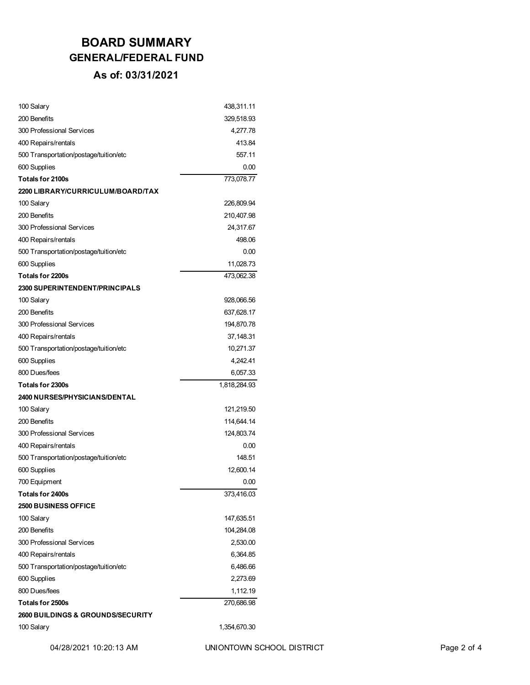| 100 Salary                                   | 438,311.11   |
|----------------------------------------------|--------------|
| 200 Benefits                                 | 329,518.93   |
| 300 Professional Services                    | 4.277.78     |
| 400 Repairs/rentals                          | 413.84       |
| 500 Transportation/postage/tuition/etc       | 557.11       |
| 600 Supplies                                 | 0.00         |
| <b>Totals for 2100s</b>                      | 773,078.77   |
| 2200 LIBRARY/CURRICULUM/BOARD/TAX            |              |
| 100 Salary                                   | 226,809.94   |
| 200 Benefits                                 | 210,407.98   |
| 300 Professional Services                    | 24,317.67    |
| 400 Repairs/rentals                          | 498.06       |
| 500 Transportation/postage/tuition/etc       | 0.00         |
| 600 Supplies                                 | 11,028.73    |
| <b>Totals for 2200s</b>                      | 473.062.38   |
| <b>2300 SUPERINTENDENT/PRINCIPALS</b>        |              |
| 100 Salary                                   | 928,066.56   |
| 200 Benefits                                 | 637,628.17   |
| 300 Professional Services                    | 194,870.78   |
| 400 Repairs/rentals                          | 37,148.31    |
| 500 Transportation/postage/tuition/etc       | 10,271.37    |
| 600 Supplies                                 | 4,242.41     |
| 800 Dues/fees                                | 6,057.33     |
| Totals for 2300s                             | 1,818,284.93 |
| <b>2400 NURSES/PHYSICIANS/DENTAL</b>         |              |
| 100 Salary                                   | 121,219.50   |
| 200 Benefits                                 | 114,644.14   |
| 300 Professional Services                    | 124,803.74   |
| 400 Repairs/rentals                          | 0.00         |
| 500 Transportation/postage/tuition/etc       | 148.51       |
| 600 Supplies                                 | 12,600.14    |
| 700 Equipment                                | 0.00         |
| Totals for 2400s                             | 373,416.03   |
| <b>2500 BUSINESS OFFICE</b>                  |              |
| 100 Salary                                   | 147,635.51   |
| 200 Benefits                                 | 104,284.08   |
| 300 Professional Services                    | 2,530.00     |
| 400 Repairs/rentals                          | 6,364.85     |
| 500 Transportation/postage/tuition/etc       | 6,486.66     |
| 600 Supplies                                 | 2,273.69     |
| 800 Dues/fees                                | 1,112.19     |
| <b>Totals for 2500s</b>                      | 270,686.98   |
| <b>2600 BUILDINGS &amp; GROUNDS/SECURITY</b> |              |
| 100 Salary                                   | 1,354,670.30 |

04/28/2021 10:20:13 AM UNIONTOWN SCHOOL DISTRICT Page 2 of 4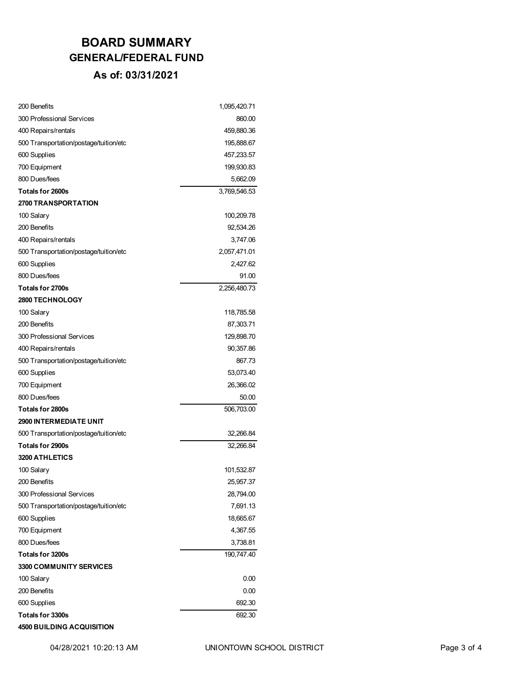| 200 Benefits                           | 1,095,420.71 |
|----------------------------------------|--------------|
| 300 Professional Services              | 860.00       |
| 400 Repairs/rentals                    | 459,880.36   |
| 500 Transportation/postage/tuition/etc | 195,888.67   |
| 600 Supplies                           | 457,233.57   |
| 700 Equipment                          | 199,930.83   |
| 800 Dues/fees                          | 5,662.09     |
| Totals for 2600s                       | 3,769,546.53 |
| <b>2700 TRANSPORTATION</b>             |              |
| 100 Salary                             | 100,209.78   |
| 200 Benefits                           | 92,534.26    |
| 400 Repairs/rentals                    | 3,747.06     |
| 500 Transportation/postage/tuition/etc | 2,057,471.01 |
| 600 Supplies                           | 2,427.62     |
| 800 Dues/fees                          | 91.00        |
| <b>Totals for 2700s</b>                | 2,256,480.73 |
| 2800 TECHNOLOGY                        |              |
| 100 Salary                             | 118,785.58   |
| 200 Benefits                           | 87,303.71    |
| 300 Professional Services              | 129,898.70   |
| 400 Repairs/rentals                    | 90,357.86    |
| 500 Transportation/postage/tuition/etc | 867.73       |
| 600 Supplies                           | 53,073.40    |
| 700 Equipment                          | 26,366.02    |
| 800 Dues/fees                          | 50.00        |
| Totals for 2800s                       | 506,703.00   |
| <b>2900 INTERMEDIATE UNIT</b>          |              |
| 500 Transportation/postage/tuition/etc | 32,266.84    |
| Totals for 2900s                       | 32,266.84    |
| <b>3200 ATHLETICS</b>                  |              |
| 100 Salary                             | 101,532.87   |
| 200 Benefits                           | 25,957.37    |
| 300 Professional Services              | 28,794.00    |
| 500 Transportation/postage/tuition/etc | 7,691.13     |
| 600 Supplies                           | 18,665.67    |
| 700 Equipment                          | 4,367.55     |
| 800 Dues/fees                          | 3,738.81     |
| Totals for 3200s                       | 190,747.40   |
| 3300 COMMUNITY SERVICES                |              |
| 100 Salary                             | 0.00         |
| 200 Benefits                           | 0.00         |
| 600 Supplies                           | 692.30       |
| <b>Totals for 3300s</b>                | 692.30       |
| <b>4500 BUILDING ACQUISITION</b>       |              |